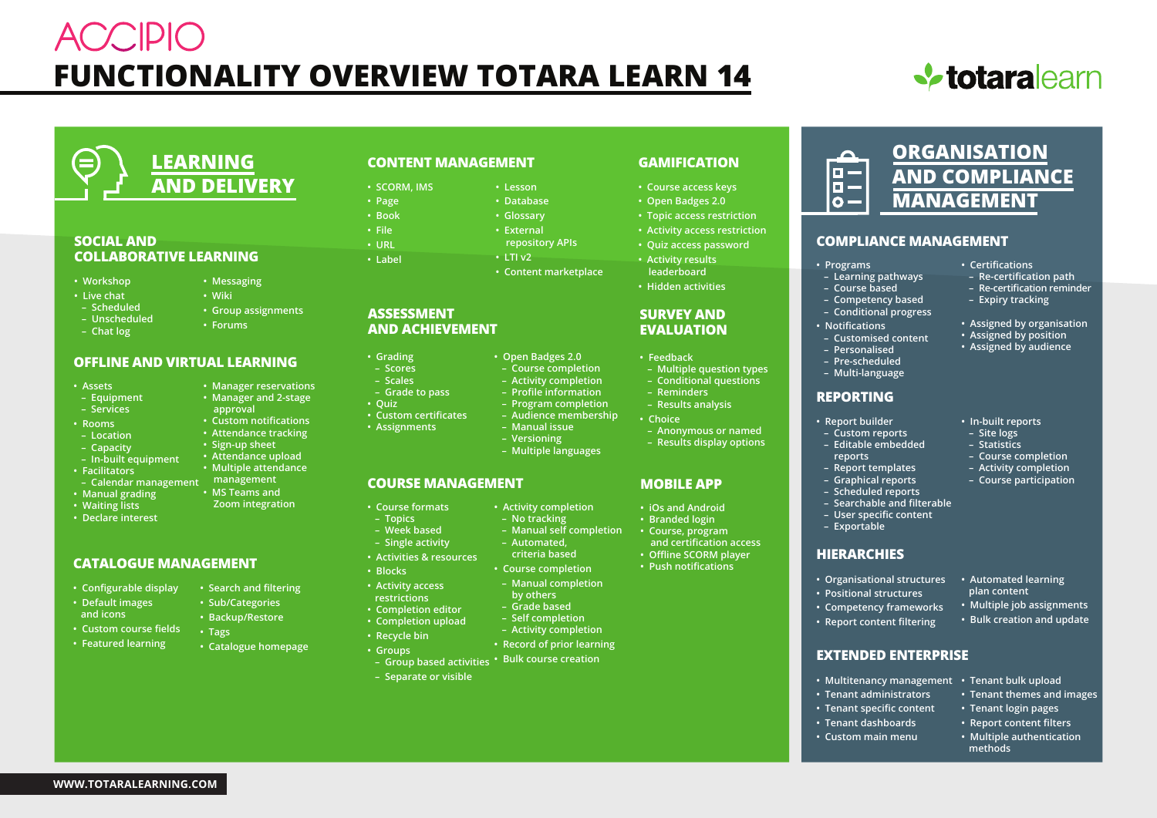# **ACCIDIC FUNCTIONALITY OVERVIEW TOTARA LEARN 14**





### **SOCIAL AND COLLABORATIVE LEARNING**

- **Workshop**
- **Live chat**
- **Scheduled**
- **Unscheduled**
- **Chat log**
- **Forums**

**• Messaging • Wiki**

**• Manager reservations • Manager and 2-stage approval • Custom notifications • Attendance tracking • Sign-up sheet • Attendance upload • Multiple attendance**

**• Group assignments**

**• MS Teams and Zoom integration**

**• Search and filtering • Sub/Categories • Backup/Restore**

**• Catalogue homepage**

**• Tags**

### **OFFLINE AND VIRTUAL LEARNING**

- **Assets**
- **Equipment**
- **Services**
- **Rooms**
- **Location**
- **Capacity**
- **In-built equipment**
- **Facilitators**
- **Calendar management management**
- **Manual grading**
- **Waiting lists**
- **Declare interest**

### **CATALOGUE MANAGEMENT**

- **Configurable display**
- **Default images and icons**
- **Custom course fields**
- **Featured learning**
- 

**WWW.TOTARALEARNING.COM**

### **CONTENT MANAGEMENT**

- **Lesson • SCORM, IMS**
	- **Database**
		- **Glossary**
			- **External repository APIs**
			- **LTI v2**
				- **Content marketplace**

#### **ASSESSMENT AND ACHIEVEMENT**

**• Grading – Scores – Scales – Grade to pass**

**• Page • Book • File • URL • Label**

**• Quiz**

- **Open Badges 2.0**
	- **Course completion** 
		- **Activity completion**
			- **Profile information**
			- **Program completion**
			- **Audience membership – Manual issue**
	- - **Versioning – Multiple languages**

**• Activity completion – No tracking**

 **– Automated, criteria based • Course completion**

### **COURSE MANAGEMENT**

- **Course formats**
- **Topics – Week based**

**• Custom certificates • Assignments**

- **Single activity**
- **Activities & resources**
- **Blocks**
- **Activity access**
- **restrictions**
- **Completion editor**
- **Completion upload**
- **Recycle bin**
- **Groups**
- **Separate or visible**

### **GAMIFICATION**

- **Course access keys**
- **Open Badges 2.0**
- **Topic access restriction**
- **Activity access restriction • Quiz access password**
- **Activity results leaderboard**
- **Hidden activities**

### **SURVEY AND EVALUATION**

- **Feedback**
- **Multiple question types – Conditional questions**
- **Reminders**
- **Results analysis**
- **Choice**
- **Anonymous or named**
- **Results display options**

### **MOBILE APP**

- **iOs and Android**
- **Branded login**
- **Course, program and certification access**
- **Offline SCORM player**
- **Push notifications**
- **Manual completion by others**
- **Grade based**
- **Self completion**

 **– Manual self completion**

- **Activity completion**
- **Record of prior learning**
- **Bulk course creation Group based activities**
	-

**• Organisational structures • Automated learning plan content**

> **• Multiple job assignments • Bulk creation and update**

**• In-built reports – Site logs – Statistics – Course completion – Activity completion – Course participation**

 **– Re-certification path – Re-certification reminder – Expiry tracking**

**• Assigned by organisation • Assigned by position • Assigned by audience**

**• Tenant themes and images • Tenant login pages • Report content filters • Multiple authentication** 

 **methods**

- **Positional structures**
- **Competency frameworks • Report content filtering**

**HIERARCHIES**

**• Report builder – Custom reports – Editable embedded reports – Report templates – Graphical reports – Scheduled reports – Searchable and filterable – User specific content – Exportable**

**REPORTING**

**• Notifications – Customised content – Personalised – Pre-scheduled – Multi-language**

 $\Box$ F.  $\Omega -$ 

- **EXTENDED ENTERPRISE**
- **Multitenancy management Tenant bulk upload**
- **Tenant administrators**
- **Tenant specific content**
- **Tenant dashboards**
- **Custom main menu**

## **ORGANISATION AND COMPLIANCE MANAGEMENT**

### **COMPLIANCE MANAGEMENT**

- **Certifications**
- **Programs – Learning pathways**
- **Course based – Competency based – Conditional progress**